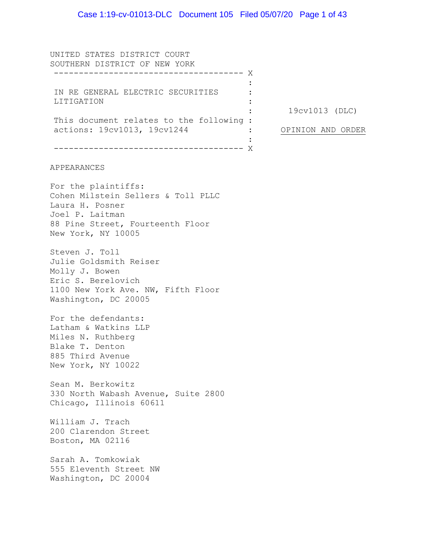UNITED STATES DISTRICT COURT SOUTHERN DISTRICT OF NEW YORK -------------------------------------- X IN RE GENERAL ELECTRIC SECURITIES LITIGATION This document relates to the following : actions: 19cv1013, 19cv1244 -------------------------------------- X :  $\cdot$ : : :  $\cdot$ : : 19cv1013 (DLC) OPINION AND ORDER APPEARANCES For the plaintiffs: Cohen Milstein Sellers & Toll PLLC Laura H. Posner Joel P. Laitman 88 Pine Street, Fourteenth Floor New York, NY 10005 Steven J. Toll Julie Goldsmith Reiser Molly J. Bowen Eric S. Berelovich 1100 New York Ave. NW, Fifth Floor Washington, DC 20005 For the defendants: Latham & Watkins LLP Miles N. Ruthberg Blake T. Denton 885 Third Avenue New York, NY 10022 Sean M. Berkowitz 330 North Wabash Avenue, Suite 2800 Chicago, Illinois 60611 William J. Trach 200 Clarendon Street Boston, MA 02116 Sarah A. Tomkowiak 555 Eleventh Street NW Washington, DC 20004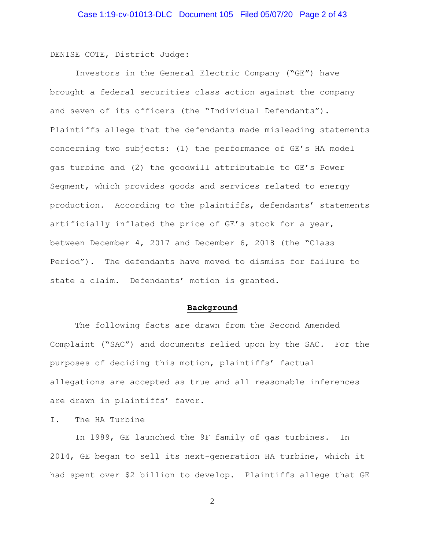DENISE COTE, District Judge:

Investors in the General Electric Company ("GE") have brought a federal securities class action against the company and seven of its officers (the "Individual Defendants"). Plaintiffs allege that the defendants made misleading statements concerning two subjects: (1) the performance of GE's HA model gas turbine and (2) the goodwill attributable to GE's Power Segment, which provides goods and services related to energy production. According to the plaintiffs, defendants' statements artificially inflated the price of GE's stock for a year, between December 4, 2017 and December 6, 2018 (the "Class Period"). The defendants have moved to dismiss for failure to state a claim. Defendants' motion is granted.

#### **Background**

The following facts are drawn from the Second Amended Complaint ("SAC") and documents relied upon by the SAC. For the purposes of deciding this motion, plaintiffs' factual allegations are accepted as true and all reasonable inferences are drawn in plaintiffs' favor.

I. The HA Turbine

In 1989, GE launched the 9F family of gas turbines. In 2014, GE began to sell its next-generation HA turbine, which it had spent over \$2 billion to develop. Plaintiffs allege that GE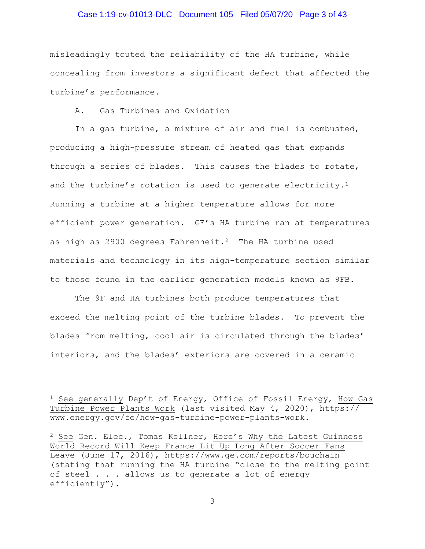## Case 1:19-cv-01013-DLC Document 105 Filed 05/07/20 Page 3 of 43

misleadingly touted the reliability of the HA turbine, while concealing from investors a significant defect that affected the turbine's performance.

A. Gas Turbines and Oxidation

In a gas turbine, a mixture of air and fuel is combusted, producing a high-pressure stream of heated gas that expands through a series of blades. This causes the blades to rotate, and the turbine's rotation is used to generate electricity.<sup>[1](#page-2-0)</sup> Running a turbine at a higher temperature allows for more efficient power generation. GE's HA turbine ran at temperatures as high as [2](#page-2-1)900 degrees Fahrenheit.<sup>2</sup> The HA turbine used materials and technology in its high-temperature section similar to those found in the earlier generation models known as 9FB.

The 9F and HA turbines both produce temperatures that exceed the melting point of the turbine blades. To prevent the blades from melting, cool air is circulated through the blades' interiors, and the blades' exteriors are covered in a ceramic

<span id="page-2-0"></span><sup>&</sup>lt;sup>1</sup> See generally Dep't of Energy, Office of Fossil Energy, How Gas Turbine Power Plants Work (last visited May 4, 2020), https:// www.energy.gov/fe/how-gas-turbine-power-plants-work.

<span id="page-2-1"></span> $2$  See Gen. Elec., Tomas Kellner, Here's Why the Latest Guinness World Record Will Keep France Lit Up Long After Soccer Fans Leave (June 17, 2016), https://www.ge.com/reports/bouchain (stating that running the HA turbine "close to the melting point of steel . . . allows us to generate a lot of energy efficiently").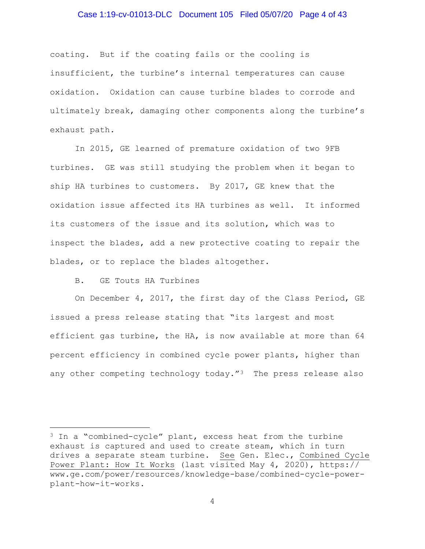## Case 1:19-cv-01013-DLC Document 105 Filed 05/07/20 Page 4 of 43

coating. But if the coating fails or the cooling is insufficient, the turbine's internal temperatures can cause oxidation. Oxidation can cause turbine blades to corrode and ultimately break, damaging other components along the turbine's exhaust path.

In 2015, GE learned of premature oxidation of two 9FB turbines. GE was still studying the problem when it began to ship HA turbines to customers. By 2017, GE knew that the oxidation issue affected its HA turbines as well. It informed its customers of the issue and its solution, which was to inspect the blades, add a new protective coating to repair the blades, or to replace the blades altogether.

## B. GE Touts HA Turbines

On December 4, 2017, the first day of the Class Period, GE issued a press release stating that "its largest and most efficient gas turbine, the HA, is now available at more than 64 percent efficiency in combined cycle power plants, higher than any other competing technology today."<sup>3</sup> The press release also

<span id="page-3-0"></span><sup>&</sup>lt;sup>3</sup> In a "combined-cycle" plant, excess heat from the turbine exhaust is captured and used to create steam, which in turn drives a separate steam turbine. See Gen. Elec., Combined Cycle Power Plant: How It Works (last visited May 4, 2020), https:// www.ge.com/power/resources/knowledge-base/combined-cycle-powerplant-how-it-works.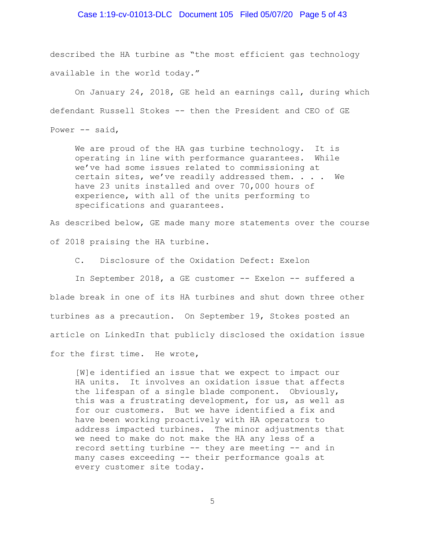## Case 1:19-cv-01013-DLC Document 105 Filed 05/07/20 Page 5 of 43

described the HA turbine as "the most efficient gas technology available in the world today."

On January 24, 2018, GE held an earnings call, during which defendant Russell Stokes -- then the President and CEO of GE Power -- said,

We are proud of the HA gas turbine technology. It is operating in line with performance guarantees. While we've had some issues related to commissioning at certain sites, we've readily addressed them. . . . We have 23 units installed and over 70,000 hours of experience, with all of the units performing to specifications and guarantees.

As described below, GE made many more statements over the course of 2018 praising the HA turbine.

C. Disclosure of the Oxidation Defect: Exelon

In September 2018, a GE customer -- Exelon -- suffered a blade break in one of its HA turbines and shut down three other turbines as a precaution. On September 19, Stokes posted an article on LinkedIn that publicly disclosed the oxidation issue for the first time. He wrote,

[W]e identified an issue that we expect to impact our HA units. It involves an oxidation issue that affects the lifespan of a single blade component. Obviously, this was a frustrating development, for us, as well as for our customers. But we have identified a fix and have been working proactively with HA operators to address impacted turbines. The minor adjustments that we need to make do not make the HA any less of a record setting turbine -- they are meeting -- and in many cases exceeding -- their performance goals at every customer site today.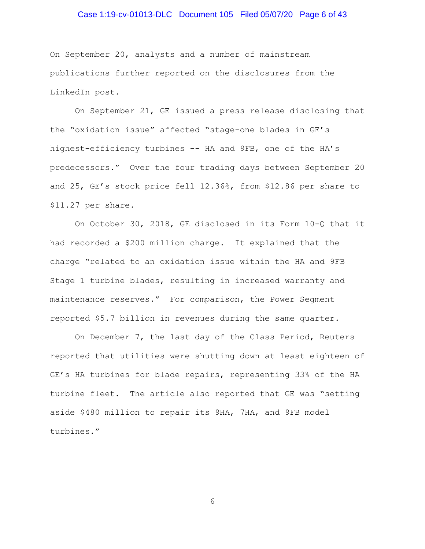# Case 1:19-cv-01013-DLC Document 105 Filed 05/07/20 Page 6 of 43

On September 20, analysts and a number of mainstream publications further reported on the disclosures from the LinkedIn post.

On September 21, GE issued a press release disclosing that the "oxidation issue" affected "stage-one blades in GE's highest-efficiency turbines -- HA and 9FB, one of the HA's predecessors."Over the four trading days between September 20 and 25, GE's stock price fell 12.36%, from \$12.86 per share to \$11.27 per share.

On October 30, 2018, GE disclosed in its Form 10-Q that it had recorded a \$200 million charge. It explained that the charge "related to an oxidation issue within the HA and 9FB Stage 1 turbine blades, resulting in increased warranty and maintenance reserves." For comparison, the Power Segment reported \$5.7 billion in revenues during the same quarter.

On December 7, the last day of the Class Period, Reuters reported that utilities were shutting down at least eighteen of GE's HA turbines for blade repairs, representing 33% of the HA turbine fleet. The article also reported that GE was "setting aside \$480 million to repair its 9HA, 7HA, and 9FB model turbines."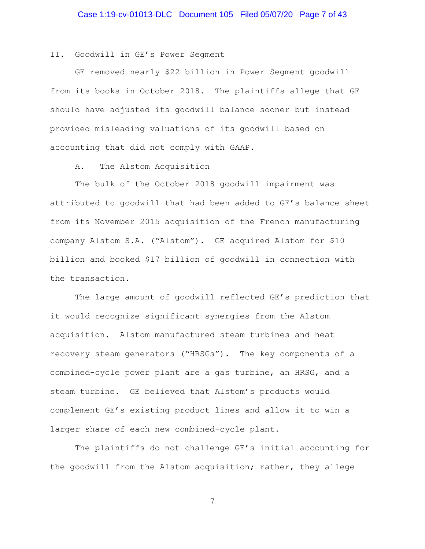II. Goodwill in GE's Power Segment

GE removed nearly \$22 billion in Power Segment goodwill from its books in October 2018. The plaintiffs allege that GE should have adjusted its goodwill balance sooner but instead provided misleading valuations of its goodwill based on accounting that did not comply with GAAP.

A. The Alstom Acquisition

The bulk of the October 2018 goodwill impairment was attributed to goodwill that had been added to GE's balance sheet from its November 2015 acquisition of the French manufacturing company Alstom S.A. ("Alstom"). GE acquired Alstom for \$10 billion and booked \$17 billion of goodwill in connection with the transaction.

The large amount of goodwill reflected GE's prediction that it would recognize significant synergies from the Alstom acquisition. Alstom manufactured steam turbines and heat recovery steam generators ("HRSGs"). The key components of a combined-cycle power plant are a gas turbine, an HRSG, and a steam turbine. GE believed that Alstom's products would complement GE's existing product lines and allow it to win a larger share of each new combined-cycle plant.

The plaintiffs do not challenge GE's initial accounting for the goodwill from the Alstom acquisition; rather, they allege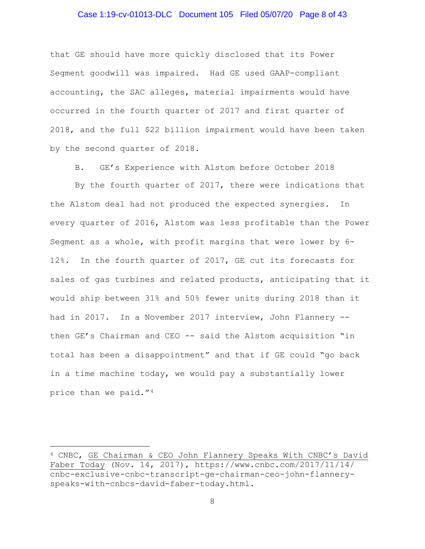## Case 1:19-cv-01013-DLC Document 105 Filed 05/07/20 Page 8 of 43

that GE should have more quickly disclosed that its Power Segment goodwill was impaired. Had GE used GAAP-compliant accounting, the SAC alleges, material impairments would have occurred in the fourth quarter of 2017 and first quarter of 2018, and the full \$22 billion impairment would have been taken by the second quarter of 2018.

B. GE's Experience with Alstom before October 2018

By the fourth quarter of 2017, there were indications that the Alstom deal had not produced the expected synergies. In every quarter of 2016, Alstom was less profitable than the Power Segment as a whole, with profit margins that were lower by 6- 12%. In the fourth quarter of 2017, GE cut its forecasts for sales of gas turbines and related products, anticipating that it would ship between 31% and 50% fewer units during 2018 than it had in 2017. In a November 2017 interview, John Flannery - then GE's Chairman and CEO -- said the Alstom acquisition "in total has been a disappointment" and that if GE could "go back in a time machine today, we would pay a substantially lower price than we paid."[4](#page-7-0)

<span id="page-7-0"></span><sup>4</sup> CNBC, GE Chairman & CEO John Flannery Speaks With CNBC's David Faber Today (Nov. 14, 2017), https://www.cnbc.com/2017/11/14/ cnbc-exclusive-cnbc-transcript-ge-chairman-ceo-john-flanneryspeaks-with-cnbcs-david-faber-today.html.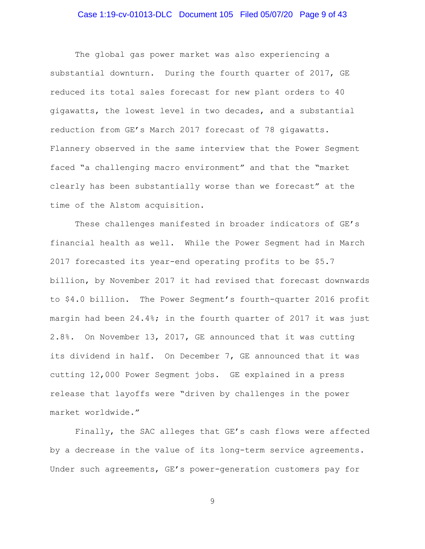# Case 1:19-cv-01013-DLC Document 105 Filed 05/07/20 Page 9 of 43

The global gas power market was also experiencing a substantial downturn. During the fourth quarter of 2017, GE reduced its total sales forecast for new plant orders to 40 gigawatts, the lowest level in two decades, and a substantial reduction from GE's March 2017 forecast of 78 gigawatts. Flannery observed in the same interview that the Power Segment faced "a challenging macro environment" and that the "market clearly has been substantially worse than we forecast" at the time of the Alstom acquisition.

These challenges manifested in broader indicators of GE's financial health as well. While the Power Segment had in March 2017 forecasted its year-end operating profits to be \$5.7 billion, by November 2017 it had revised that forecast downwards to \$4.0 billion. The Power Segment's fourth-quarter 2016 profit margin had been  $24.4\%$ ; in the fourth quarter of 2017 it was just 2.8%. On November 13, 2017, GE announced that it was cutting its dividend in half. On December 7, GE announced that it was cutting 12,000 Power Segment jobs. GE explained in a press release that layoffs were "driven by challenges in the power market worldwide."

Finally, the SAC alleges that GE's cash flows were affected by a decrease in the value of its long-term service agreements. Under such agreements, GE's power-generation customers pay for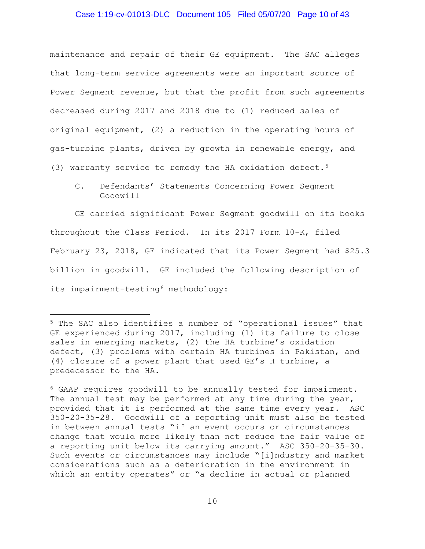## Case 1:19-cv-01013-DLC Document 105 Filed 05/07/20 Page 10 of 43

maintenance and repair of their GE equipment. The SAC alleges that long-term service agreements were an important source of Power Segment revenue, but that the profit from such agreements decreased during 2017 and 2018 due to (1) reduced sales of original equipment, (2) a reduction in the operating hours of gas-turbine plants, driven by growth in renewable energy, and (3) warranty service to remedy the HA oxidation defect.[5](#page-9-0)

C. Defendants' Statements Concerning Power Segment Goodwill

GE carried significant Power Segment goodwill on its books throughout the Class Period. In its 2017 Form 10-K, filed February 23, 2018, GE indicated that its Power Segment had \$25.3 billion in goodwill. GE included the following description of its impairment-testing<sup>[6](#page-9-1)</sup> methodology:

<span id="page-9-0"></span><sup>5</sup> The SAC also identifies a number of "operational issues" that GE experienced during 2017, including (1) its failure to close sales in emerging markets, (2) the HA turbine's oxidation defect, (3) problems with certain HA turbines in Pakistan, and (4) closure of a power plant that used GE's H turbine, a predecessor to the HA.

<span id="page-9-1"></span><sup>6</sup> GAAP requires goodwill to be annually tested for impairment. The annual test may be performed at any time during the year, provided that it is performed at the same time every year. ASC 350-20-35-28. Goodwill of a reporting unit must also be tested in between annual tests "if an event occurs or circumstances change that would more likely than not reduce the fair value of a reporting unit below its carrying amount." ASC 350-20-35-30. Such events or circumstances may include "[i]ndustry and market considerations such as a deterioration in the environment in which an entity operates" or "a decline in actual or planned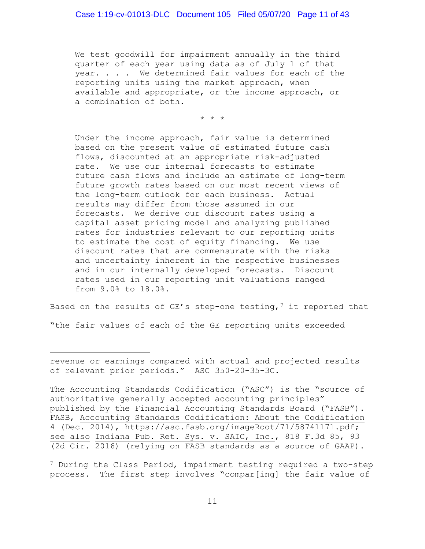We test goodwill for impairment annually in the third quarter of each year using data as of July 1 of that year. . . . We determined fair values for each of the reporting units using the market approach, when available and appropriate, or the income approach, or a combination of both.

\* \* \*

Under the income approach, fair value is determined based on the present value of estimated future cash flows, discounted at an appropriate risk-adjusted rate. We use our internal forecasts to estimate future cash flows and include an estimate of long-term future growth rates based on our most recent views of the long-term outlook for each business. Actual results may differ from those assumed in our forecasts. We derive our discount rates using a capital asset pricing model and analyzing published rates for industries relevant to our reporting units to estimate the cost of equity financing. We use discount rates that are commensurate with the risks and uncertainty inherent in the respective businesses and in our internally developed forecasts. Discount rates used in our reporting unit valuations ranged from 9.0% to 18.0%.

Based on the results of GE's step-one testing,<sup>[7](#page-10-0)</sup> it reported that

"the fair values of each of the GE reporting units exceeded

revenue or earnings compared with actual and projected results of relevant prior periods." ASC 350-20-35-3C.

The Accounting Standards Codification ("ASC") is the "source of authoritative generally accepted accounting principles" published by the Financial Accounting Standards Board ("FASB"). FASB, Accounting Standards Codification: About the Codification 4 (Dec. 2014), https://asc.fasb.org/imageRoot/71/58741171.pdf; see also Indiana Pub. Ret. Sys. v. SAIC, Inc., 818 F.3d 85, 93 (2d Cir. 2016) (relying on FASB standards as a source of GAAP).

<span id="page-10-0"></span><sup>7</sup> During the Class Period, impairment testing required a two-step process. The first step involves "compar[ing] the fair value of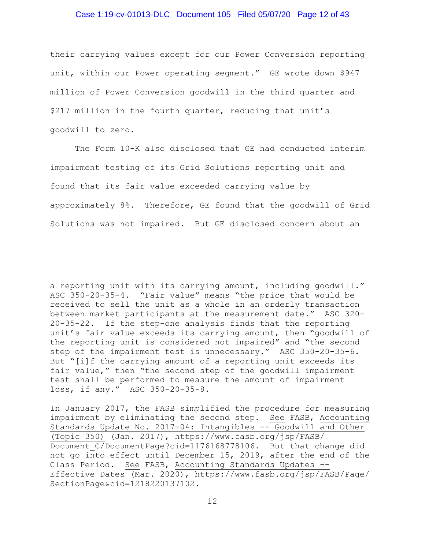# Case 1:19-cv-01013-DLC Document 105 Filed 05/07/20 Page 12 of 43

their carrying values except for our Power Conversion reporting unit, within our Power operating segment." GE wrote down \$947 million of Power Conversion goodwill in the third quarter and \$217 million in the fourth quarter, reducing that unit's goodwill to zero.

The Form 10-K also disclosed that GE had conducted interim impairment testing of its Grid Solutions reporting unit and found that its fair value exceeded carrying value by approximately 8%. Therefore, GE found that the goodwill of Grid Solutions was not impaired. But GE disclosed concern about an

a reporting unit with its carrying amount, including goodwill." ASC 350-20-35-4. "Fair value" means "the price that would be received to sell the unit as a whole in an orderly transaction between market participants at the measurement date." ASC 320- 20-35-22. If the step-one analysis finds that the reporting unit's fair value exceeds its carrying amount, then "goodwill of the reporting unit is considered not impaired" and "the second step of the impairment test is unnecessary." ASC 350-20-35-6. But "[i]f the carrying amount of a reporting unit exceeds its fair value," then "the second step of the goodwill impairment test shall be performed to measure the amount of impairment loss, if any." ASC 350-20-35-8.

In January 2017, the FASB simplified the procedure for measuring impairment by eliminating the second step. See FASB, Accounting Standards Update No. 2017-04: Intangibles -- Goodwill and Other (Topic 350) (Jan. 2017), https://www.fasb.org/jsp/FASB/ Document C/DocumentPage?cid=1176168778106. But that change did not go into effect until December 15, 2019, after the end of the Class Period. See FASB, Accounting Standards Updates -- Effective Dates (Mar. 2020), https://www.fasb.org/jsp/FASB/Page/ SectionPage&cid=1218220137102.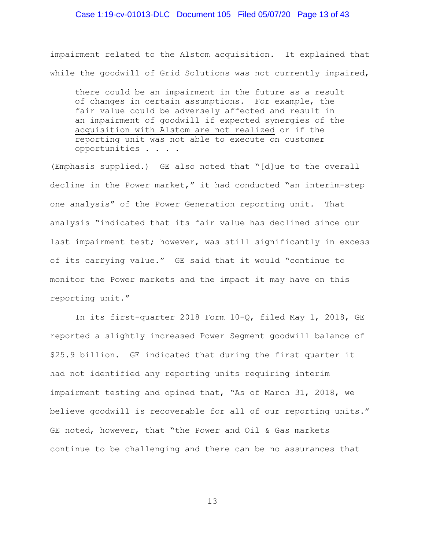## Case 1:19-cv-01013-DLC Document 105 Filed 05/07/20 Page 13 of 43

impairment related to the Alstom acquisition. It explained that while the goodwill of Grid Solutions was not currently impaired,

there could be an impairment in the future as a result of changes in certain assumptions. For example, the fair value could be adversely affected and result in an impairment of goodwill if expected synergies of the acquisition with Alstom are not realized or if the reporting unit was not able to execute on customer opportunities . . . .

(Emphasis supplied.) GE also noted that "[d]ue to the overall decline in the Power market," it had conducted "an interim-step one analysis" of the Power Generation reporting unit. That analysis "indicated that its fair value has declined since our last impairment test; however, was still significantly in excess of its carrying value." GE said that it would "continue to monitor the Power markets and the impact it may have on this reporting unit."

In its first-quarter 2018 Form 10-Q, filed May 1, 2018, GE reported a slightly increased Power Segment goodwill balance of \$25.9 billion. GE indicated that during the first quarter it had not identified any reporting units requiring interim impairment testing and opined that, "As of March 31, 2018, we believe goodwill is recoverable for all of our reporting units." GE noted, however, that "the Power and Oil & Gas markets continue to be challenging and there can be no assurances that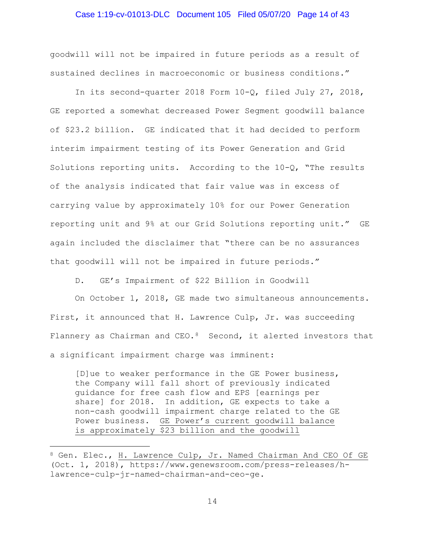## Case 1:19-cv-01013-DLC Document 105 Filed 05/07/20 Page 14 of 43

goodwill will not be impaired in future periods as a result of sustained declines in macroeconomic or business conditions."

In its second-quarter 2018 Form 10-Q, filed July 27, 2018, GE reported a somewhat decreased Power Segment goodwill balance of \$23.2 billion. GE indicated that it had decided to perform interim impairment testing of its Power Generation and Grid Solutions reporting units. According to the  $10-\Omega$ , "The results of the analysis indicated that fair value was in excess of carrying value by approximately 10% for our Power Generation reporting unit and 9% at our Grid Solutions reporting unit." GE again included the disclaimer that "there can be no assurances that goodwill will not be impaired in future periods."

D. GE's Impairment of \$22 Billion in Goodwill

On October 1, 2018, GE made two simultaneous announcements. First, it announced that H. Lawrence Culp, Jr. was succeeding Flannery as Chairman and CEO.<sup>[8](#page-13-0)</sup> Second, it alerted investors that a significant impairment charge was imminent:

[D]ue to weaker performance in the GE Power business, the Company will fall short of previously indicated guidance for free cash flow and EPS [earnings per share] for 2018. In addition, GE expects to take a non-cash goodwill impairment charge related to the GE Power business. GE Power's current goodwill balance is approximately \$23 billion and the goodwill

<span id="page-13-0"></span><sup>8</sup> Gen. Elec., H. Lawrence Culp, Jr. Named Chairman And CEO Of GE (Oct. 1, 2018), https://www.genewsroom.com/press-releases/hlawrence-culp-jr-named-chairman-and-ceo-ge.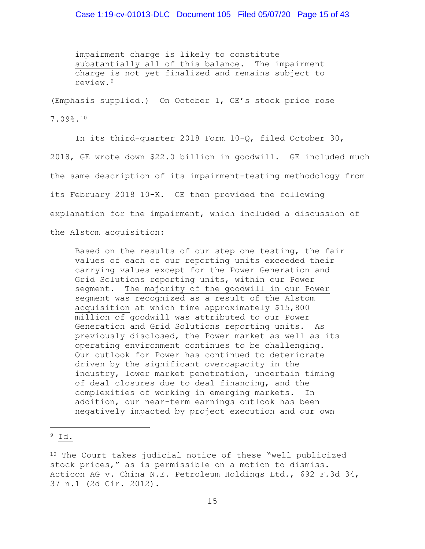## Case 1:19-cv-01013-DLC Document 105 Filed 05/07/20 Page 15 of 43

impairment charge is likely to constitute substantially all of this balance. The impairment charge is not yet finalized and remains subject to review.[9](#page-14-0)

(Emphasis supplied.) On October 1, GE's stock price rose

7.09%.[10](#page-14-1)

In its third-quarter 2018 Form 10-Q, filed October 30, 2018, GE wrote down \$22.0 billion in goodwill. GE included much the same description of its impairment-testing methodology from its February 2018 10-K. GE then provided the following explanation for the impairment, which included a discussion of the Alstom acquisition:

Based on the results of our step one testing, the fair values of each of our reporting units exceeded their carrying values except for the Power Generation and Grid Solutions reporting units, within our Power segment. The majority of the goodwill in our Power segment was recognized as a result of the Alstom acquisition at which time approximately \$15,800 million of goodwill was attributed to our Power Generation and Grid Solutions reporting units. As previously disclosed, the Power market as well as its operating environment continues to be challenging. Our outlook for Power has continued to deteriorate driven by the significant overcapacity in the industry, lower market penetration, uncertain timing of deal closures due to deal financing, and the complexities of working in emerging markets. In addition, our near-term earnings outlook has been negatively impacted by project execution and our own

<span id="page-14-0"></span><sup>9</sup> Id.

<span id="page-14-1"></span><sup>10</sup> The Court takes judicial notice of these "well publicized stock prices," as is permissible on a motion to dismiss. Acticon AG v. China N.E. Petroleum Holdings Ltd., 692 F.3d 34, 37 n.1 (2d Cir. 2012).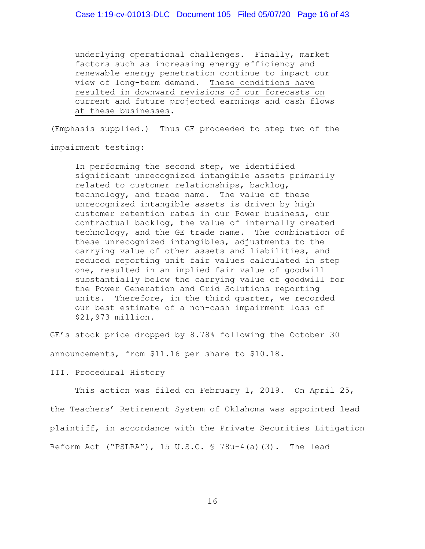underlying operational challenges. Finally, market factors such as increasing energy efficiency and renewable energy penetration continue to impact our view of long-term demand. These conditions have resulted in downward revisions of our forecasts on current and future projected earnings and cash flows at these businesses.

(Emphasis supplied.) Thus GE proceeded to step two of the

impairment testing:

In performing the second step, we identified significant unrecognized intangible assets primarily related to customer relationships, backlog, technology, and trade name. The value of these unrecognized intangible assets is driven by high customer retention rates in our Power business, our contractual backlog, the value of internally created technology, and the GE trade name. The combination of these unrecognized intangibles, adjustments to the carrying value of other assets and liabilities, and reduced reporting unit fair values calculated in step one, resulted in an implied fair value of goodwill substantially below the carrying value of goodwill for the Power Generation and Grid Solutions reporting units. Therefore, in the third quarter, we recorded our best estimate of a non-cash impairment loss of \$21,973 million.

GE's stock price dropped by 8.78% following the October 30 announcements, from \$11.16 per share to \$10.18.

III. Procedural History

This action was filed on February 1, 2019. On April 25, the Teachers' Retirement System of Oklahoma was appointed lead plaintiff, in accordance with the Private Securities Litigation Reform Act ("PSLRA"), 15 U.S.C. § 78u-4(a)(3). The lead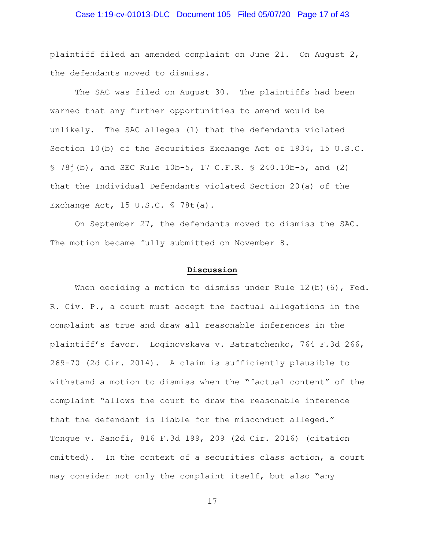## Case 1:19-cv-01013-DLC Document 105 Filed 05/07/20 Page 17 of 43

plaintiff filed an amended complaint on June 21. On August 2, the defendants moved to dismiss.

The SAC was filed on August 30. The plaintiffs had been warned that any further opportunities to amend would be unlikely. The SAC alleges (1) that the defendants violated Section 10(b) of the Securities Exchange Act of 1934, 15 U.S.C. § 78j(b), and SEC Rule 10b-5, 17 C.F.R. § 240.10b-5, and (2) that the Individual Defendants violated Section 20(a) of the Exchange Act, 15 U.S.C. § 78t(a).

On September 27, the defendants moved to dismiss the SAC. The motion became fully submitted on November 8.

#### **Discussion**

When deciding a motion to dismiss under Rule  $12(b)$  (6), Fed. R. Civ. P., a court must accept the factual allegations in the complaint as true and draw all reasonable inferences in the plaintiff's favor. Loginovskaya v. Batratchenko, 764 F.3d 266, 269-70 (2d Cir. 2014). A claim is sufficiently plausible to withstand a motion to dismiss when the "factual content" of the complaint "allows the court to draw the reasonable inference that the defendant is liable for the misconduct alleged." Tongue v. Sanofi, 816 F.3d 199, 209 (2d Cir. 2016) (citation omitted). In the context of a securities class action, a court may consider not only the complaint itself, but also "any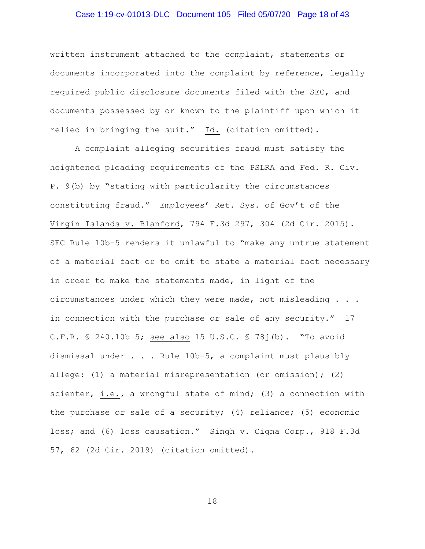## Case 1:19-cv-01013-DLC Document 105 Filed 05/07/20 Page 18 of 43

written instrument attached to the complaint, statements or documents incorporated into the complaint by reference, legally required public disclosure documents filed with the SEC, and documents possessed by or known to the plaintiff upon which it relied in bringing the suit." Id. (citation omitted).

A complaint alleging securities fraud must satisfy the heightened pleading requirements of the PSLRA and Fed. R. Civ. P. 9(b) by "stating with particularity the circumstances constituting fraud." Employees' Ret. Sys. of Gov't of the Virgin Islands v. Blanford, 794 F.3d 297, 304 (2d Cir. 2015). SEC Rule 10b-5 renders it unlawful to "make any untrue statement of a material fact or to omit to state a material fact necessary in order to make the statements made, in light of the circumstances under which they were made, not misleading . . . in connection with the purchase or sale of any security." 17 C.F.R. § 240.10b–5; see also 15 U.S.C. § 78j(b). "To avoid dismissal under . . . Rule 10b-5, a complaint must plausibly allege: (1) a material misrepresentation (or omission); (2) scienter, i.e.*,* a wrongful state of mind; (3) a connection with the purchase or sale of a security; (4) reliance; (5) economic loss; and (6) loss causation." Singh v. Cigna Corp., 918 F.3d 57, 62 (2d Cir. 2019) (citation omitted).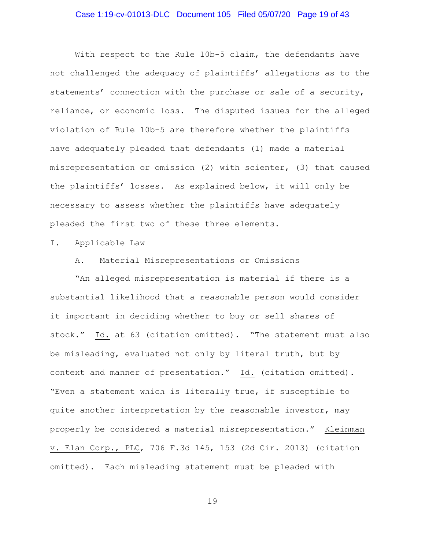## Case 1:19-cv-01013-DLC Document 105 Filed 05/07/20 Page 19 of 43

With respect to the Rule 10b-5 claim, the defendants have not challenged the adequacy of plaintiffs' allegations as to the statements' connection with the purchase or sale of a security, reliance, or economic loss. The disputed issues for the alleged violation of Rule 10b-5 are therefore whether the plaintiffs have adequately pleaded that defendants (1) made a material misrepresentation or omission (2) with scienter, (3) that caused the plaintiffs' losses. As explained below, it will only be necessary to assess whether the plaintiffs have adequately pleaded the first two of these three elements.

#### I. Applicable Law

A. Material Misrepresentations or Omissions

"An alleged misrepresentation is material if there is a substantial likelihood that a reasonable person would consider it important in deciding whether to buy or sell shares of stock." Id. at 63 (citation omitted). "The statement must also be misleading, evaluated not only by literal truth, but by context and manner of presentation." Id. (citation omitted). "Even a statement which is literally true, if susceptible to quite another interpretation by the reasonable investor, may properly be considered a material misrepresentation." Kleinman v. Elan Corp., PLC, 706 F.3d 145, 153 (2d Cir. 2013) (citation omitted). Each misleading statement must be pleaded with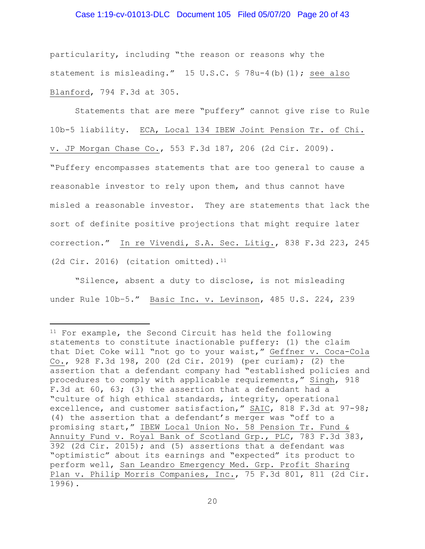#### Case 1:19-cv-01013-DLC Document 105 Filed 05/07/20 Page 20 of 43

particularity, including "the reason or reasons why the statement is misleading." 15 U.S.C. § 78u-4(b)(1); see also Blanford, 794 F.3d at 305.

Statements that are mere "puffery" cannot give rise to Rule 10b-5 liability. ECA, Local 134 IBEW Joint Pension Tr. of Chi. v. JP Morgan Chase Co., 553 F.3d 187, 206 (2d Cir. 2009). "Puffery encompasses statements that are too general to cause a reasonable investor to rely upon them, and thus cannot have misled a reasonable investor. They are statements that lack the sort of definite positive projections that might require later correction." In re Vivendi, S.A. Sec. Litig., 838 F.3d 223, 245 (2d Cir. 2016) (citation omitted). $11$ 

"Silence, absent a duty to disclose, is not misleading under Rule 10b-5." Basic Inc. v. Levinson, 485 U.S. 224, 239

<span id="page-19-0"></span><sup>11</sup> For example, the Second Circuit has held the following statements to constitute inactionable puffery: (1) the claim that Diet Coke will "not go to your waist," Geffner v. Coca-Cola Co., 928 F.3d 198, 200 (2d Cir. 2019) (per curiam); (2) the assertion that a defendant company had "established policies and procedures to comply with applicable requirements," Singh, 918 F.3d at 60, 63; (3) the assertion that a defendant had a "culture of high ethical standards, integrity, operational excellence, and customer satisfaction," SAIC, 818 F.3d at 97-98; (4) the assertion that a defendant's merger was "off to a promising start," IBEW Local Union No. 58 Pension Tr. Fund & Annuity Fund v. Royal Bank of Scotland Grp., PLC, 783 F.3d 383, 392 (2d Cir. 2015); and (5) assertions that a defendant was "optimistic" about its earnings and "expected" its product to perform well, San Leandro Emergency Med. Grp. Profit Sharing Plan v. Philip Morris Companies, Inc., 75 F.3d 801, 811 (2d Cir. 1996).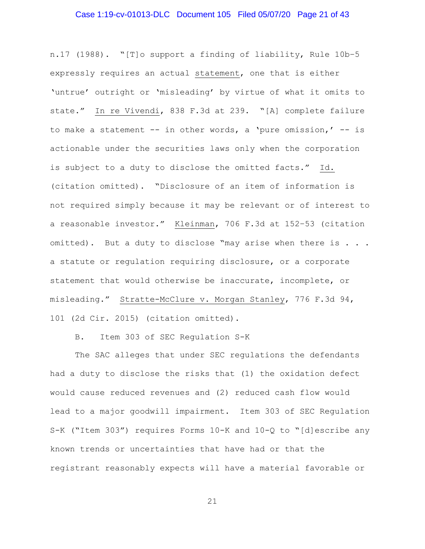## Case 1:19-cv-01013-DLC Document 105 Filed 05/07/20 Page 21 of 43

n.17 (1988). "[T]o support a finding of liability, Rule 10b–5 expressly requires an actual statement, one that is either 'untrue' outright or 'misleading' by virtue of what it omits to state." In re Vivendi, 838 F.3d at 239. "[A] complete failure to make a statement  $--$  in other words, a 'pure omission,'  $--$  is actionable under the securities laws only when the corporation is subject to a duty to disclose the omitted facts." Id. (citation omitted). "Disclosure of an item of information is not required simply because it may be relevant or of interest to a reasonable investor." Kleinman, 706 F.3d at 152–53 (citation omitted). But a duty to disclose "may arise when there is . . . a statute or regulation requiring disclosure, or a corporate statement that would otherwise be inaccurate, incomplete, or misleading." Stratte-McClure v. Morgan Stanley, 776 F.3d 94, 101 (2d Cir. 2015) (citation omitted).

B. Item 303 of SEC Regulation S-K

The SAC alleges that under SEC regulations the defendants had a duty to disclose the risks that (1) the oxidation defect would cause reduced revenues and (2) reduced cash flow would lead to a major goodwill impairment. Item 303 of SEC Regulation S-K ("Item 303") requires Forms 10-K and 10-Q to "[d]escribe any known trends or uncertainties that have had or that the registrant reasonably expects will have a material favorable or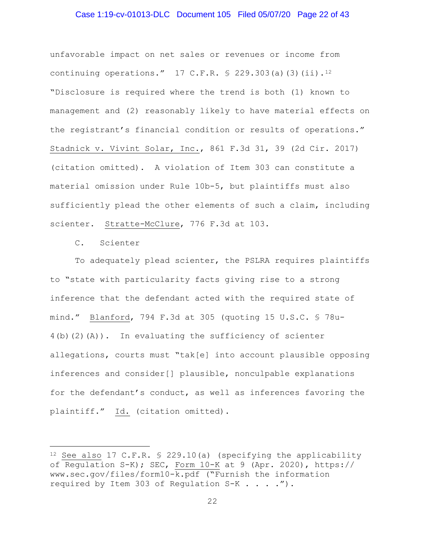## Case 1:19-cv-01013-DLC Document 105 Filed 05/07/20 Page 22 of 43

unfavorable impact on net sales or revenues or income from continuing operations." 17 C.F.R. § 229.303(a)(3)(ii).[12](#page-21-0) "Disclosure is required where the trend is both (1) known to management and (2) reasonably likely to have material effects on the registrant's financial condition or results of operations." Stadnick v. Vivint Solar, Inc., 861 F.3d 31, 39 (2d Cir. 2017) (citation omitted). A violation of Item 303 can constitute a material omission under Rule 10b-5, but plaintiffs must also sufficiently plead the other elements of such a claim, including scienter. Stratte-McClure, 776 F.3d at 103.

C. Scienter

To adequately plead scienter, the PSLRA requires plaintiffs to "state with particularity facts giving rise to a strong inference that the defendant acted with the required state of mind." Blanford, 794 F.3d at 305 (quoting 15 U.S.C. § 78u-4(b)(2)(A)). In evaluating the sufficiency of scienter allegations, courts must "tak[e] into account plausible opposing inferences and consider[] plausible, nonculpable explanations for the defendant's conduct, as well as inferences favoring the plaintiff." Id. (citation omitted).

<span id="page-21-0"></span><sup>12</sup> See also 17 C.F.R. § 229.10(a) (specifying the applicability of Regulation S-K); SEC, Form 10-K at 9 (Apr. 2020), https:// www.sec.gov/files/form10-k.pdf ("Furnish the information required by Item 303 of Regulation S-K . . . .").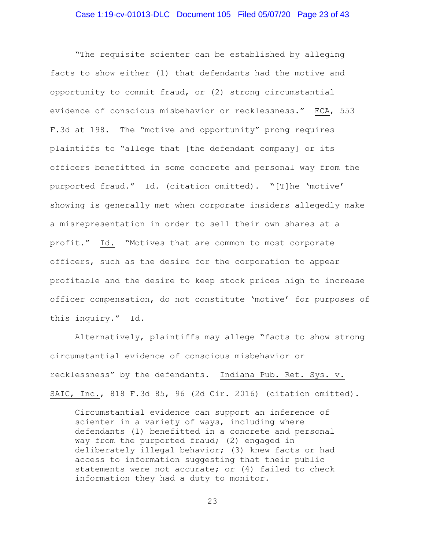"The requisite scienter can be established by alleging facts to show either (1) that defendants had the motive and opportunity to commit fraud, or (2) strong circumstantial evidence of conscious misbehavior or recklessness." ECA, 553 F.3d at 198. The "motive and opportunity" prong requires plaintiffs to "allege that [the defendant company] or its officers benefitted in some concrete and personal way from the purported fraud." Id. (citation omitted). "[T]he 'motive' showing is generally met when corporate insiders allegedly make a misrepresentation in order to sell their own shares at a profit." Id. "Motives that are common to most corporate officers, such as the desire for the corporation to appear profitable and the desire to keep stock prices high to increase officer compensation, do not constitute 'motive' for purposes of this inquiry." Id.

Alternatively, plaintiffs may allege "facts to show strong circumstantial evidence of conscious misbehavior or recklessness" by the defendants. Indiana Pub. Ret. Sys. v. SAIC, Inc., 818 F.3d 85, 96 (2d Cir. 2016) (citation omitted).

Circumstantial evidence can support an inference of scienter in a variety of ways, including where defendants (1) benefitted in a concrete and personal way from the purported fraud; (2) engaged in deliberately illegal behavior; (3) knew facts or had access to information suggesting that their public statements were not accurate; or (4) failed to check information they had a duty to monitor.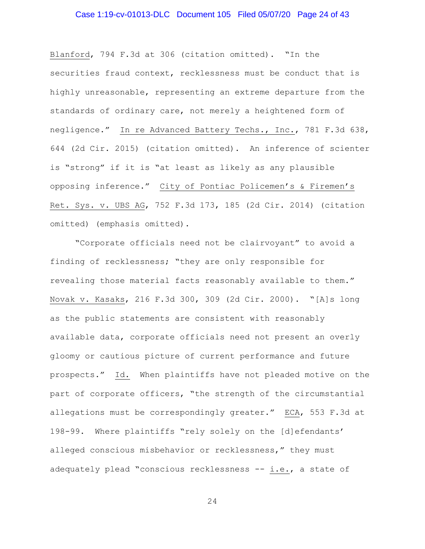# Case 1:19-cv-01013-DLC Document 105 Filed 05/07/20 Page 24 of 43

Blanford, 794 F.3d at 306 (citation omitted). "In the securities fraud context, recklessness must be conduct that is highly unreasonable, representing an extreme departure from the standards of ordinary care, not merely a heightened form of negligence." In re Advanced Battery Techs., Inc., 781 F.3d 638, 644 (2d Cir. 2015) (citation omitted). An inference of scienter is "strong" if it is "at least as likely as any plausible opposing inference." City of Pontiac Policemen's & Firemen's Ret. Sys. v. UBS AG, 752 F.3d 173, 185 (2d Cir. 2014) (citation omitted) (emphasis omitted).

"Corporate officials need not be clairvoyant" to avoid a finding of recklessness; "they are only responsible for revealing those material facts reasonably available to them." Novak v. Kasaks, 216 F.3d 300, 309 (2d Cir. 2000). "[A]s long as the public statements are consistent with reasonably available data, corporate officials need not present an overly gloomy or cautious picture of current performance and future prospects." Id. When plaintiffs have not pleaded motive on the part of corporate officers, "the strength of the circumstantial allegations must be correspondingly greater." ECA, 553 F.3d at 198-99. Where plaintiffs "rely solely on the [d]efendants' alleged conscious misbehavior or recklessness," they must adequately plead "conscious recklessness -- i.e., a state of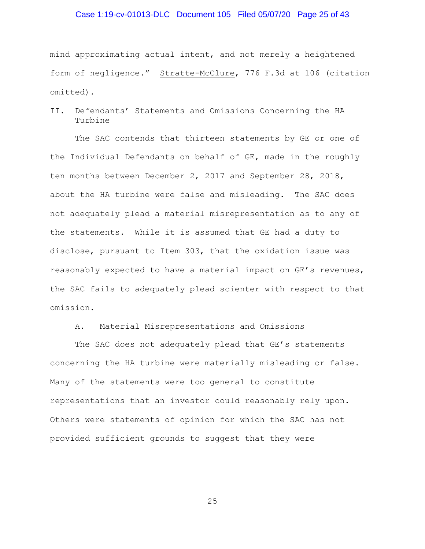## Case 1:19-cv-01013-DLC Document 105 Filed 05/07/20 Page 25 of 43

mind approximating actual intent, and not merely a heightened form of negligence." Stratte-McClure, 776 F.3d at 106 (citation omitted).

II. Defendants' Statements and Omissions Concerning the HA Turbine

The SAC contends that thirteen statements by GE or one of the Individual Defendants on behalf of GE, made in the roughly ten months between December 2, 2017 and September 28, 2018, about the HA turbine were false and misleading. The SAC does not adequately plead a material misrepresentation as to any of the statements. While it is assumed that GE had a duty to disclose, pursuant to Item 303, that the oxidation issue was reasonably expected to have a material impact on GE's revenues, the SAC fails to adequately plead scienter with respect to that omission.

A. Material Misrepresentations and Omissions

The SAC does not adequately plead that GE's statements concerning the HA turbine were materially misleading or false. Many of the statements were too general to constitute representations that an investor could reasonably rely upon. Others were statements of opinion for which the SAC has not provided sufficient grounds to suggest that they were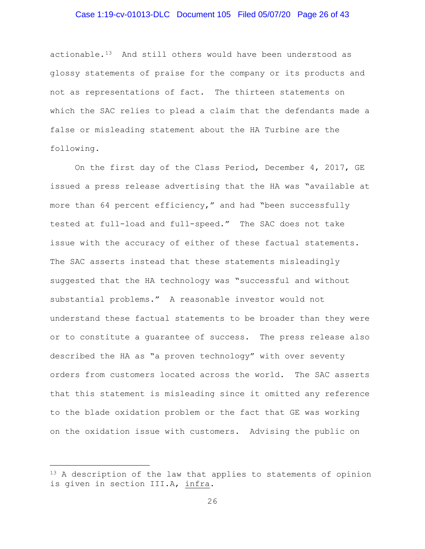## Case 1:19-cv-01013-DLC Document 105 Filed 05/07/20 Page 26 of 43

actionable. $13$  And still others would have been understood as glossy statements of praise for the company or its products and not as representations of fact. The thirteen statements on which the SAC relies to plead a claim that the defendants made a false or misleading statement about the HA Turbine are the following.

On the first day of the Class Period, December 4, 2017, GE issued a press release advertising that the HA was "available at more than 64 percent efficiency," and had "been successfully tested at full-load and full-speed." The SAC does not take issue with the accuracy of either of these factual statements. The SAC asserts instead that these statements misleadingly suggested that the HA technology was "successful and without substantial problems." A reasonable investor would not understand these factual statements to be broader than they were or to constitute a guarantee of success. The press release also described the HA as "a proven technology" with over seventy orders from customers located across the world. The SAC asserts that this statement is misleading since it omitted any reference to the blade oxidation problem or the fact that GE was working on the oxidation issue with customers. Advising the public on

<span id="page-25-0"></span><sup>&</sup>lt;sup>13</sup> A description of the law that applies to statements of opinion is given in section [III.A,](#page-35-0) infra.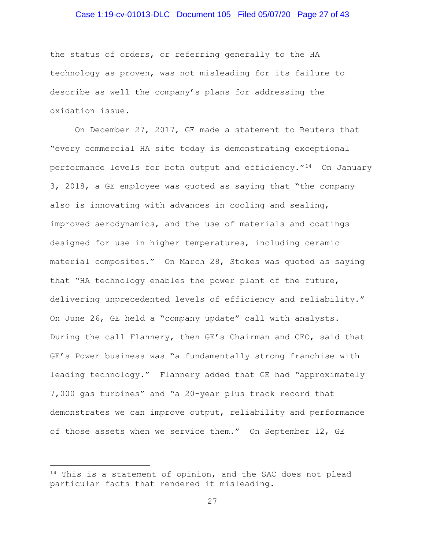## Case 1:19-cv-01013-DLC Document 105 Filed 05/07/20 Page 27 of 43

the status of orders, or referring generally to the HA technology as proven, was not misleading for its failure to describe as well the company's plans for addressing the oxidation issue.

On December 27, 2017, GE made a statement to Reuters that "every commercial HA site today is demonstrating exceptional performance levels for both output and efficiency."[14](#page-26-0) On January 3, 2018, a GE employee was quoted as saying that "the company also is innovating with advances in cooling and sealing, improved aerodynamics, and the use of materials and coatings designed for use in higher temperatures, including ceramic material composites." On March 28, Stokes was quoted as saying that "HA technology enables the power plant of the future, delivering unprecedented levels of efficiency and reliability." On June 26, GE held a "company update" call with analysts. During the call Flannery, then GE's Chairman and CEO, said that GE's Power business was "a fundamentally strong franchise with leading technology." Flannery added that GE had "approximately 7,000 gas turbines" and "a 20-year plus track record that demonstrates we can improve output, reliability and performance of those assets when we service them." On September 12, GE

<span id="page-26-0"></span><sup>&</sup>lt;sup>14</sup> This is a statement of opinion, and the SAC does not plead particular facts that rendered it misleading.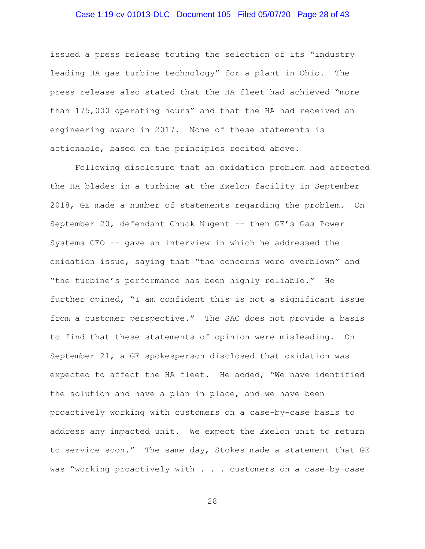## Case 1:19-cv-01013-DLC Document 105 Filed 05/07/20 Page 28 of 43

issued a press release touting the selection of its "industry leading HA gas turbine technology" for a plant in Ohio. The press release also stated that the HA fleet had achieved "more than 175,000 operating hours" and that the HA had received an engineering award in 2017. None of these statements is actionable, based on the principles recited above.

Following disclosure that an oxidation problem had affected the HA blades in a turbine at the Exelon facility in September 2018, GE made a number of statements regarding the problem. On September 20, defendant Chuck Nugent -- then GE's Gas Power Systems CEO -- gave an interview in which he addressed the oxidation issue, saying that "the concerns were overblown" and "the turbine's performance has been highly reliable." He further opined, "I am confident this is not a significant issue from a customer perspective." The SAC does not provide a basis to find that these statements of opinion were misleading. On September 21, a GE spokesperson disclosed that oxidation was expected to affect the HA fleet. He added, "We have identified the solution and have a plan in place, and we have been proactively working with customers on a case-by-case basis to address any impacted unit. We expect the Exelon unit to return to service soon." The same day, Stokes made a statement that GE was "working proactively with . . . customers on a case-by-case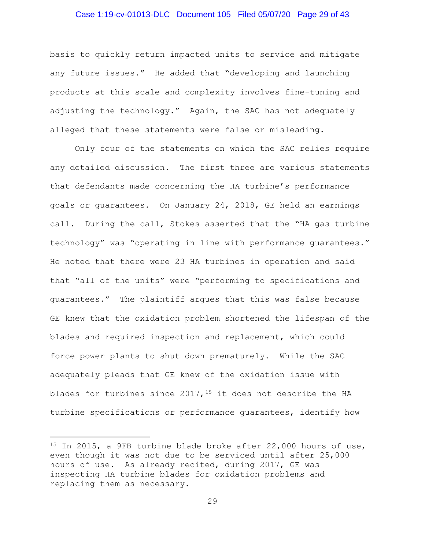## Case 1:19-cv-01013-DLC Document 105 Filed 05/07/20 Page 29 of 43

basis to quickly return impacted units to service and mitigate any future issues." He added that "developing and launching products at this scale and complexity involves fine-tuning and adjusting the technology." Again, the SAC has not adequately alleged that these statements were false or misleading.

Only four of the statements on which the SAC relies require any detailed discussion. The first three are various statements that defendants made concerning the HA turbine's performance goals or guarantees. On January 24, 2018, GE held an earnings call. During the call, Stokes asserted that the "HA gas turbine technology" was "operating in line with performance guarantees." He noted that there were 23 HA turbines in operation and said that "all of the units" were "performing to specifications and guarantees." The plaintiff argues that this was false because GE knew that the oxidation problem shortened the lifespan of the blades and required inspection and replacement, which could force power plants to shut down prematurely. While the SAC adequately pleads that GE knew of the oxidation issue with blades for turbines since 2017, <sup>[15](#page-28-0)</sup> it does not describe the HA turbine specifications or performance guarantees, identify how

<span id="page-28-0"></span><sup>&</sup>lt;sup>15</sup> In 2015, a 9FB turbine blade broke after 22,000 hours of use, even though it was not due to be serviced until after 25,000 hours of use. As already recited, during 2017, GE was inspecting HA turbine blades for oxidation problems and replacing them as necessary.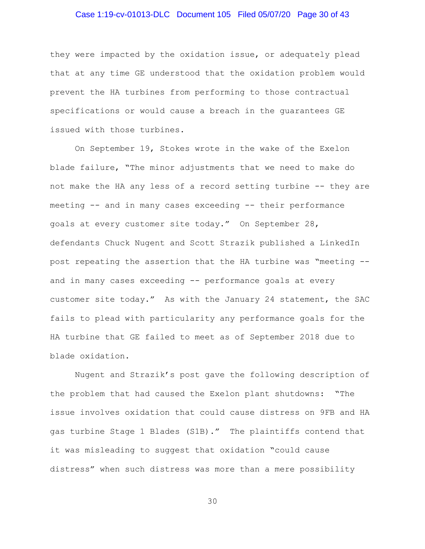## Case 1:19-cv-01013-DLC Document 105 Filed 05/07/20 Page 30 of 43

they were impacted by the oxidation issue, or adequately plead that at any time GE understood that the oxidation problem would prevent the HA turbines from performing to those contractual specifications or would cause a breach in the guarantees GE issued with those turbines.

On September 19, Stokes wrote in the wake of the Exelon blade failure, "The minor adjustments that we need to make do not make the HA any less of a record setting turbine -- they are meeting -- and in many cases exceeding -- their performance goals at every customer site today." On September 28, defendants Chuck Nugent and Scott Strazik published a LinkedIn post repeating the assertion that the HA turbine was "meeting - and in many cases exceeding -- performance goals at every customer site today." As with the January 24 statement, the SAC fails to plead with particularity any performance goals for the HA turbine that GE failed to meet as of September 2018 due to blade oxidation.

Nugent and Strazik's post gave the following description of the problem that had caused the Exelon plant shutdowns: "The issue involves oxidation that could cause distress on 9FB and HA gas turbine Stage 1 Blades (S1B)." The plaintiffs contend that it was misleading to suggest that oxidation "could cause distress" when such distress was more than a mere possibility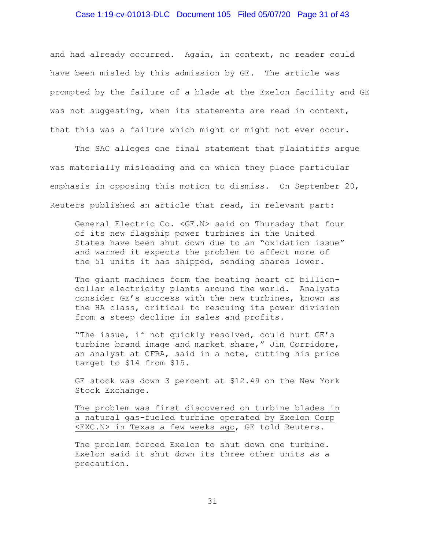#### Case 1:19-cv-01013-DLC Document 105 Filed 05/07/20 Page 31 of 43

and had already occurred. Again, in context, no reader could have been misled by this admission by GE. The article was prompted by the failure of a blade at the Exelon facility and GE was not suggesting, when its statements are read in context, that this was a failure which might or might not ever occur.

The SAC alleges one final statement that plaintiffs argue was materially misleading and on which they place particular emphasis in opposing this motion to dismiss. On September 20, Reuters published an article that read, in relevant part:

General Electric Co. <GE.N> said on Thursday that four of its new flagship power turbines in the United States have been shut down due to an "oxidation issue" and warned it expects the problem to affect more of the 51 units it has shipped, sending shares lower.

The giant machines form the beating heart of billiondollar electricity plants around the world. Analysts consider GE's success with the new turbines, known as the HA class, critical to rescuing its power division from a steep decline in sales and profits.

"The issue, if not quickly resolved, could hurt GE's turbine brand image and market share," Jim Corridore, an analyst at CFRA, said in a note, cutting his price target to \$14 from \$15.

GE stock was down 3 percent at \$12.49 on the New York Stock Exchange.

The problem was first discovered on turbine blades in a natural gas-fueled turbine operated by Exelon Corp <EXC.N> in Texas a few weeks ago, GE told Reuters.

The problem forced Exelon to shut down one turbine. Exelon said it shut down its three other units as a precaution.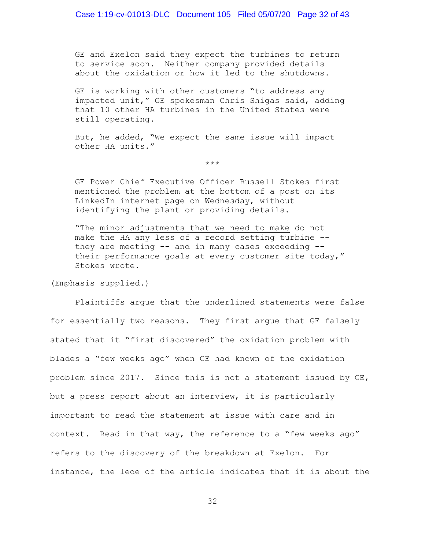GE and Exelon said they expect the turbines to return to service soon. Neither company provided details about the oxidation or how it led to the shutdowns.

GE is working with other customers "to address any impacted unit," GE spokesman Chris Shigas said, adding that 10 other HA turbines in the United States were still operating.

But, he added, "We expect the same issue will impact other HA units."

\*\*\*

GE Power Chief Executive Officer Russell Stokes first mentioned the problem at the bottom of a post on its LinkedIn internet page on Wednesday, without identifying the plant or providing details.

"The minor adjustments that we need to make do not make the HA any less of a record setting turbine - they are meeting  $--$  and in many cases exceeding  $-$ their performance goals at every customer site today," Stokes wrote.

(Emphasis supplied.)

Plaintiffs argue that the underlined statements were false for essentially two reasons. They first argue that GE falsely stated that it "first discovered" the oxidation problem with blades a "few weeks ago" when GE had known of the oxidation problem since 2017. Since this is not a statement issued by GE, but a press report about an interview, it is particularly important to read the statement at issue with care and in context. Read in that way, the reference to a "few weeks ago" refers to the discovery of the breakdown at Exelon. For instance, the lede of the article indicates that it is about the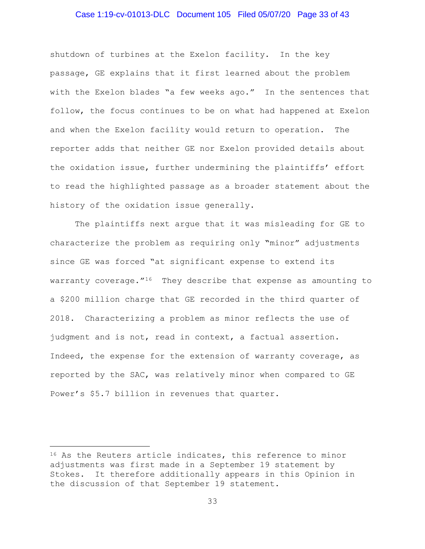## Case 1:19-cv-01013-DLC Document 105 Filed 05/07/20 Page 33 of 43

shutdown of turbines at the Exelon facility. In the key passage, GE explains that it first learned about the problem with the Exelon blades "a few weeks ago." In the sentences that follow, the focus continues to be on what had happened at Exelon and when the Exelon facility would return to operation. The reporter adds that neither GE nor Exelon provided details about the oxidation issue, further undermining the plaintiffs' effort to read the highlighted passage as a broader statement about the history of the oxidation issue generally.

The plaintiffs next argue that it was misleading for GE to characterize the problem as requiring only **"**minor" adjustments since GE was forced "at significant expense to extend its warranty coverage. $16$  They describe that expense as amounting to a \$200 million charge that GE recorded in the third quarter of 2018**.** Characterizing a problem as minor reflects the use of judgment and is not, read in context, a factual assertion. Indeed, the expense for the extension of warranty coverage, as reported by the SAC, was relatively minor when compared to GE Power's \$5.7 billion in revenues that quarter.

<span id="page-32-0"></span><sup>&</sup>lt;sup>16</sup> As the Reuters article indicates, this reference to minor adjustments was first made in a September 19 statement by Stokes. It therefore additionally appears in this Opinion in the discussion of that September 19 statement.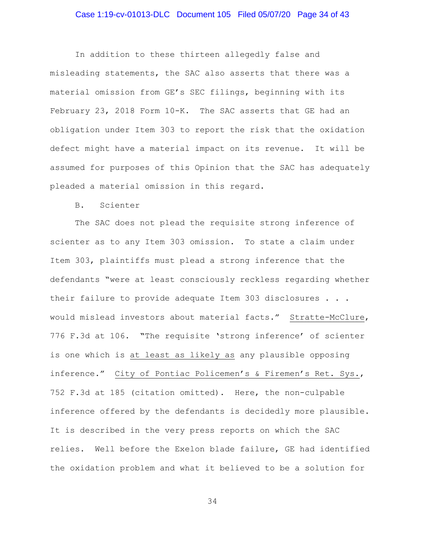## Case 1:19-cv-01013-DLC Document 105 Filed 05/07/20 Page 34 of 43

In addition to these thirteen allegedly false and misleading statements, the SAC also asserts that there was a material omission from GE's SEC filings, beginning with its February 23, 2018 Form 10-K. The SAC asserts that GE had an obligation under Item 303 to report the risk that the oxidation defect might have a material impact on its revenue. It will be assumed for purposes of this Opinion that the SAC has adequately pleaded a material omission in this regard.

B. Scienter

The SAC does not plead the requisite strong inference of scienter as to any Item 303 omission. To state a claim under Item 303, plaintiffs must plead a strong inference that the defendants "were at least consciously reckless regarding whether their failure to provide adequate Item 303 disclosures . . . would mislead investors about material facts." Stratte-McClure, 776 F.3d at 106**. "**The requisite 'strong inference' of scienter is one which is at least as likely as any plausible opposing inference." City of Pontiac Policemen's & Firemen's Ret. Sys., 752 F.3d at 185 (citation omitted). Here, the non-culpable inference offered by the defendants is decidedly more plausible. It is described in the very press reports on which the SAC relies.Well before the Exelon blade failure, GE had identified the oxidation problem and what it believed to be a solution for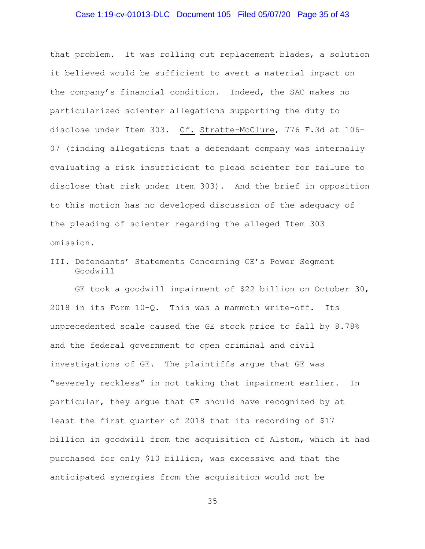## Case 1:19-cv-01013-DLC Document 105 Filed 05/07/20 Page 35 of 43

that problem. It was rolling out replacement blades, a solution it believed would be sufficient to avert a material impact on the company's financial condition. Indeed, the SAC makes no particularized scienter allegations supporting the duty to disclose under Item 303. Cf. Stratte-McClure, 776 F.3d at 106- 07 (finding allegations that a defendant company was internally evaluating a risk insufficient to plead scienter for failure to disclose that risk under Item 303). And the brief in opposition to this motion has no developed discussion of the adequacy of the pleading of scienter regarding the alleged Item 303 omission.

III. Defendants' Statements Concerning GE's Power Segment Goodwill

GE took a goodwill impairment of \$22 billion on October 30, 2018 in its Form 10-Q. This was a mammoth write-off. Its unprecedented scale caused the GE stock price to fall by 8.78% and the federal government to open criminal and civil investigations of GE. The plaintiffs argue that GE was "severely reckless" in not taking that impairment earlier. In particular, they argue that GE should have recognized by at least the first quarter of 2018 that its recording of \$17 billion in goodwill from the acquisition of Alstom, which it had purchased for only \$10 billion, was excessive and that the anticipated synergies from the acquisition would not be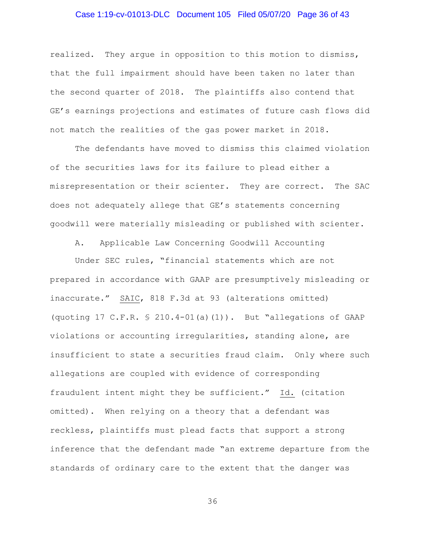## Case 1:19-cv-01013-DLC Document 105 Filed 05/07/20 Page 36 of 43

realized. They argue in opposition to this motion to dismiss, that the full impairment should have been taken no later than the second quarter of 2018. The plaintiffs also contend that GE's earnings projections and estimates of future cash flows did not match the realities of the gas power market in 2018.

The defendants have moved to dismiss this claimed violation of the securities laws for its failure to plead either a misrepresentation or their scienter. They are correct. The SAC does not adequately allege that GE's statements concerning goodwill were materially misleading or published with scienter.

A. Applicable Law Concerning Goodwill Accounting

<span id="page-35-0"></span>Under SEC rules, "financial statements which are not prepared in accordance with GAAP are presumptively misleading or inaccurate." SAIC, 818 F.3d at 93 (alterations omitted) (quoting 17 C.F.R. § 210.4-01(a)(1)). But "allegations of GAAP violations or accounting irregularities, standing alone, are insufficient to state a securities fraud claim. Only where such allegations are coupled with evidence of corresponding fraudulent intent might they be sufficient." Id. (citation omitted). When relying on a theory that a defendant was reckless, plaintiffs must plead facts that support a strong inference that the defendant made "an extreme departure from the standards of ordinary care to the extent that the danger was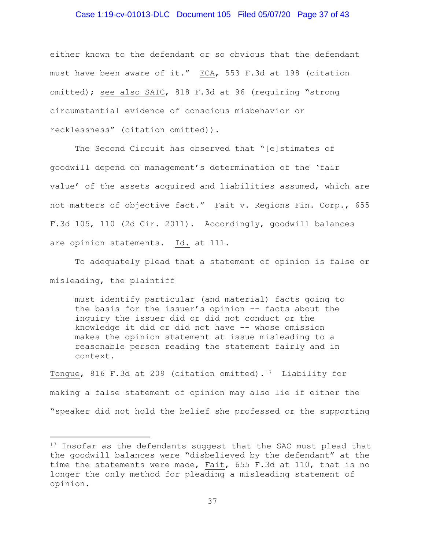#### Case 1:19-cv-01013-DLC Document 105 Filed 05/07/20 Page 37 of 43

either known to the defendant or so obvious that the defendant must have been aware of it." ECA, 553 F.3d at 198 (citation omitted); see also SAIC, 818 F.3d at 96 (requiring "strong circumstantial evidence of conscious misbehavior or recklessness" (citation omitted)).

The Second Circuit has observed that "[e]stimates of goodwill depend on management's determination of the 'fair value' of the assets acquired and liabilities assumed, which are not matters of objective fact." Fait v. Regions Fin. Corp., 655 F.3d 105, 110 (2d Cir. 2011). Accordingly, goodwill balances are opinion statements. Id. at 111.

To adequately plead that a statement of opinion is false or misleading, the plaintiff

must identify particular (and material) facts going to the basis for the issuer's opinion -- facts about the inquiry the issuer did or did not conduct or the knowledge it did or did not have -- whose omission makes the opinion statement at issue misleading to a reasonable person reading the statement fairly and in context.

Tongue, 816 F.3d at 209 (citation omitted).[17](#page-36-0) Liability for making a false statement of opinion may also lie if either the "speaker did not hold the belief she professed or the supporting

<span id="page-36-0"></span><sup>&</sup>lt;sup>17</sup> Insofar as the defendants suggest that the SAC must plead that the goodwill balances were "disbelieved by the defendant" at the time the statements were made, Fait, 655 F.3d at 110, that is no longer the only method for pleading a misleading statement of opinion.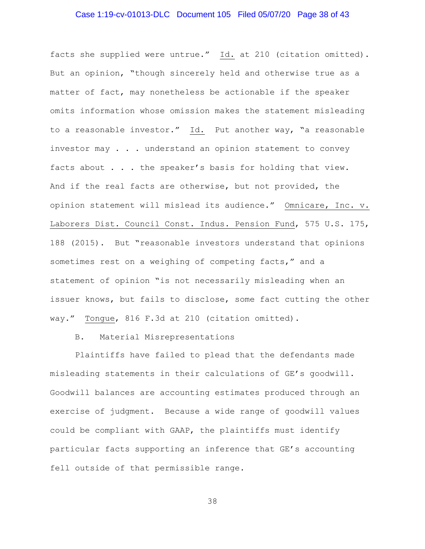## Case 1:19-cv-01013-DLC Document 105 Filed 05/07/20 Page 38 of 43

facts she supplied were untrue." Id. at 210 (citation omitted). But an opinion, "though sincerely held and otherwise true as a matter of fact, may nonetheless be actionable if the speaker omits information whose omission makes the statement misleading to a reasonable investor." Id. Put another way, "a reasonable investor may . . . understand an opinion statement to convey facts about . . . the speaker's basis for holding that view. And if the real facts are otherwise, but not provided, the opinion statement will mislead its audience." Omnicare, Inc. v. Laborers Dist. Council Const. Indus. Pension Fund, 575 U.S. 175, 188 (2015). But "reasonable investors understand that opinions sometimes rest on a weighing of competing facts," and a statement of opinion "is not necessarily misleading when an issuer knows, but fails to disclose, some fact cutting the other way." Tongue, 816 F.3d at 210 (citation omitted).

#### B. Material Misrepresentations

Plaintiffs have failed to plead that the defendants made misleading statements in their calculations of GE's goodwill. Goodwill balances are accounting estimates produced through an exercise of judgment. Because a wide range of goodwill values could be compliant with GAAP, the plaintiffs must identify particular facts supporting an inference that GE's accounting fell outside of that permissible range.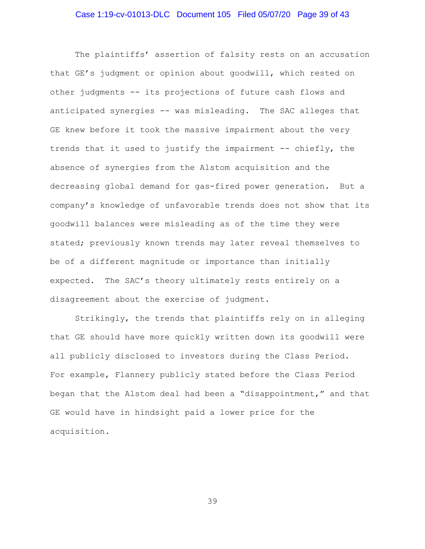## Case 1:19-cv-01013-DLC Document 105 Filed 05/07/20 Page 39 of 43

The plaintiffs' assertion of falsity rests on an accusation that GE's judgment or opinion about goodwill, which rested on other judgments -- its projections of future cash flows and anticipated synergies -- was misleading. The SAC alleges that GE knew before it took the massive impairment about the very trends that it used to justify the impairment -- chiefly, the absence of synergies from the Alstom acquisition and the decreasing global demand for gas-fired power generation. But a company's knowledge of unfavorable trends does not show that its goodwill balances were misleading as of the time they were stated; previously known trends may later reveal themselves to be of a different magnitude or importance than initially expected. The SAC's theory ultimately rests entirely on a disagreement about the exercise of judgment.

Strikingly, the trends that plaintiffs rely on in alleging that GE should have more quickly written down its goodwill were all publicly disclosed to investors during the Class Period. For example, Flannery publicly stated before the Class Period began that the Alstom deal had been a "disappointment," and that GE would have in hindsight paid a lower price for the acquisition.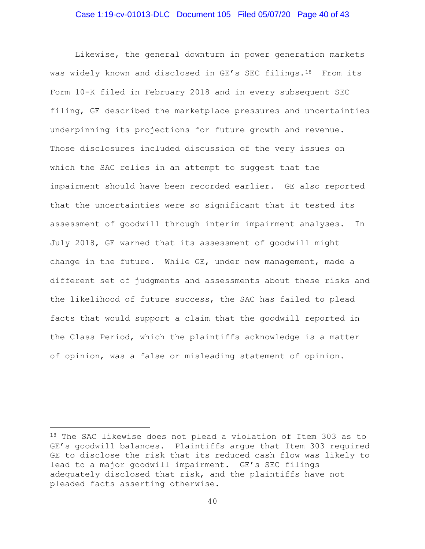## Case 1:19-cv-01013-DLC Document 105 Filed 05/07/20 Page 40 of 43

Likewise, the general downturn in power generation markets was widely known and disclosed in GE's SEC filings.<sup>[18](#page-39-0)</sup> From its Form 10-K filed in February 2018 and in every subsequent SEC filing, GE described the marketplace pressures and uncertainties underpinning its projections for future growth and revenue. Those disclosures included discussion of the very issues on which the SAC relies in an attempt to suggest that the impairment should have been recorded earlier. GE also reported that the uncertainties were so significant that it tested its assessment of goodwill through interim impairment analyses. In July 2018, GE warned that its assessment of goodwill might change in the future. While GE, under new management, made a different set of judgments and assessments about these risks and the likelihood of future success, the SAC has failed to plead facts that would support a claim that the goodwill reported in the Class Period, which the plaintiffs acknowledge is a matter of opinion, was a false or misleading statement of opinion.

<span id="page-39-0"></span><sup>18</sup> The SAC likewise does not plead a violation of Item 303 as to GE's goodwill balances. Plaintiffs argue that Item 303 required GE to disclose the risk that its reduced cash flow was likely to lead to a major goodwill impairment. GE's SEC filings adequately disclosed that risk, and the plaintiffs have not pleaded facts asserting otherwise.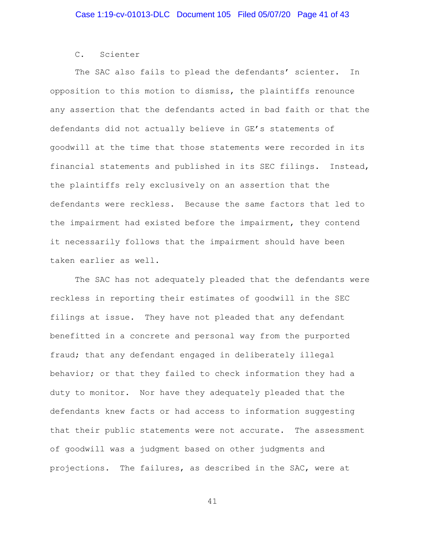## C. Scienter

The SAC also fails to plead the defendants' scienter. In opposition to this motion to dismiss, the plaintiffs renounce any assertion that the defendants acted in bad faith or that the defendants did not actually believe in GE's statements of goodwill at the time that those statements were recorded in its financial statements and published in its SEC filings. Instead, the plaintiffs rely exclusively on an assertion that the defendants were reckless. Because the same factors that led to the impairment had existed before the impairment, they contend it necessarily follows that the impairment should have been taken earlier as well.

The SAC has not adequately pleaded that the defendants were reckless in reporting their estimates of goodwill in the SEC filings at issue. They have not pleaded that any defendant benefitted in a concrete and personal way from the purported fraud; that any defendant engaged in deliberately illegal behavior; or that they failed to check information they had a duty to monitor. Nor have they adequately pleaded that the defendants knew facts or had access to information suggesting that their public statements were not accurate. The assessment of goodwill was a judgment based on other judgments and projections. The failures, as described in the SAC, were at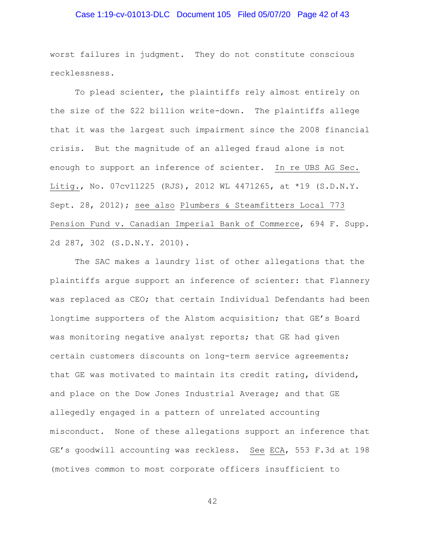## Case 1:19-cv-01013-DLC Document 105 Filed 05/07/20 Page 42 of 43

worst failures in judgment. They do not constitute conscious recklessness.

To plead scienter, the plaintiffs rely almost entirely on the size of the \$22 billion write-down. The plaintiffs allege that it was the largest such impairment since the 2008 financial crisis. But the magnitude of an alleged fraud alone is not enough to support an inference of scienter. In re UBS AG Sec. Litig., No. 07cv11225 (RJS), 2012 WL 4471265, at \*19 (S.D.N.Y. Sept. 28, 2012); see also Plumbers & Steamfitters Local 773 Pension Fund v. Canadian Imperial Bank of Commerce, 694 F. Supp. 2d 287, 302 (S.D.N.Y. 2010).

The SAC makes a laundry list of other allegations that the plaintiffs argue support an inference of scienter: that Flannery was replaced as CEO; that certain Individual Defendants had been longtime supporters of the Alstom acquisition; that GE's Board was monitoring negative analyst reports; that GE had given certain customers discounts on long-term service agreements; that GE was motivated to maintain its credit rating, dividend, and place on the Dow Jones Industrial Average; and that GE allegedly engaged in a pattern of unrelated accounting misconduct. None of these allegations support an inference that GE's goodwill accounting was reckless. See ECA, 553 F.3d at 198 (motives common to most corporate officers insufficient to